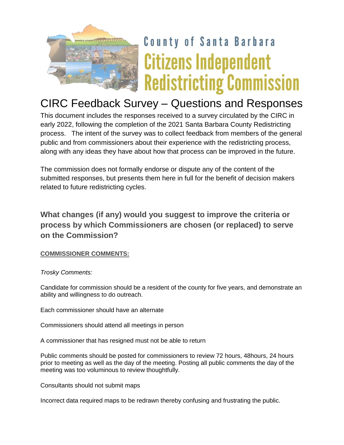

# **County of Santa Barbara Citizens Independent Redistricting Commission**

## CIRC Feedback Survey – Questions and Responses

This document includes the responses received to a survey circulated by the CIRC in early 2022, following the completion of the 2021 Santa Barbara County Redistricting process. The intent of the survey was to collect feedback from members of the general public and from commissioners about their experience with the redistricting process, along with any ideas they have about how that process can be improved in the future.

The commission does not formally endorse or dispute any of the content of the submitted responses, but presents them here in full for the benefit of decision makers related to future redistricting cycles.

## **What changes (if any) would you suggest to improve the criteria or process by which Commissioners are chosen (or replaced) to serve on the Commission?**

#### **COMMISSIONER COMMENTS:**

*Trosky Comments:*

Candidate for commission should be a resident of the county for five years, and demonstrate an ability and willingness to do outreach.

Each commissioner should have an alternate

Commissioners should attend all meetings in person

A commissioner that has resigned must not be able to return

Public comments should be posted for commissioners to review 72 hours, 48hours, 24 hours prior to meeting as well as the day of the meeting. Posting all public comments the day of the meeting was too voluminous to review thoughtfully.

Consultants should not submit maps

Incorrect data required maps to be redrawn thereby confusing and frustrating the public.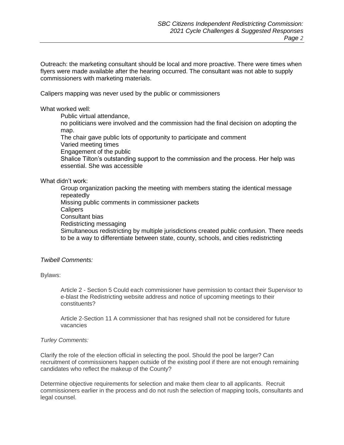Outreach: the marketing consultant should be local and more proactive. There were times when flyers were made available after the hearing occurred. The consultant was not able to supply commissioners with marketing materials.

Calipers mapping was never used by the public or commissioners

What worked well:

Public virtual attendance,

no politicians were involved and the commission had the final decision on adopting the map.

The chair gave public lots of opportunity to participate and comment

Varied meeting times

Engagement of the public

Shalice Tilton's outstanding support to the commission and the process. Her help was essential. She was accessible

#### What didn't work:

Group organization packing the meeting with members stating the identical message repeatedly Missing public comments in commissioner packets **Calipers** Consultant bias Redistricting messaging Simultaneous redistricting by multiple jurisdictions created public confusion. There needs to be a way to differentiate between state, county, schools, and cities redistricting

#### *Twibell Comments:*

Bylaws:

Article 2 - Section 5 Could each commissioner have permission to contact their Supervisor to e-blast the Redistricting website address and notice of upcoming meetings to their constituents?

Article 2-Section 11 A commissioner that has resigned shall not be considered for future vacancies

#### *Turley Comments:*

Clarify the role of the election official in selecting the pool. Should the pool be larger? Can recruitment of commissioners happen outside of the existing pool if there are not enough remaining candidates who reflect the makeup of the County?

Determine objective requirements for selection and make them clear to all applicants. Recruit commissioners earlier in the process and do not rush the selection of mapping tools, consultants and legal counsel.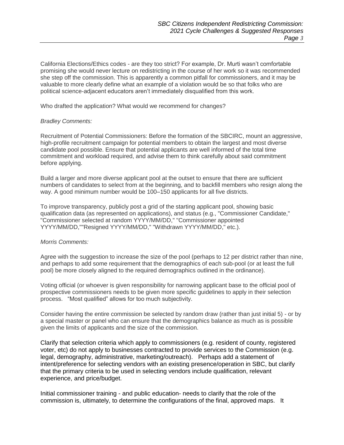California Elections/Ethics codes - are they too strict? For example, Dr. Murti wasn't comfortable promising she would never lecture on redistricting in the course of her work so it was recommended she step off the commission. This is apparently a common pitfall for commissioners, and it may be valuable to more clearly define what an example of a violation would be so that folks who are political science-adjacent educators aren't immediately disqualified from this work.

Who drafted the application? What would we recommend for changes?

#### *Bradley Comments:*

Recruitment of Potential Commissioners: Before the formation of the SBCIRC, mount an aggressive, high-profile recruitment campaign for potential members to obtain the largest and most diverse candidate pool possible. Ensure that potential applicants are well informed of the total time commitment and workload required, and advise them to think carefully about said commitment before applying.

Build a larger and more diverse applicant pool at the outset to ensure that there are sufficient numbers of candidates to select from at the beginning, and to backfill members who resign along the way. A good minimum number would be 100–150 applicants for all five districts.

To improve transparency, publicly post a grid of the starting applicant pool, showing basic qualification data (as represented on applications), and status (e.g., "Commissioner Candidate," "Commissioner selected at random YYYY/MM/DD," "Commissioner appointed YYYY/MM/DD,""Resigned YYYY/MM/DD," "Withdrawn YYYY/MM/DD," etc.).

#### *Morris Comments:*

Agree with the suggestion to increase the size of the pool (perhaps to 12 per district rather than nine, and perhaps to add some requirement that the demographics of each sub-pool (or at least the full pool) be more closely aligned to the required demographics outlined in the ordinance).

Voting official (or whoever is given responsibility for narrowing applicant base to the official pool of prospective commissioners needs to be given more specific guidelines to apply in their selection process. "Most qualified" allows for too much subjectivity.

Consider having the entire commission be selected by random draw (rather than just initial 5) - or by a special master or panel who can ensure that the demographics balance as much as is possible given the limits of applicants and the size of the commission.

Clarify that selection criteria which apply to commissioners (e.g. resident of county, registered voter, etc) do not apply to businesses contracted to provide services to the Commission (e.g. legal, demography, administrative, marketing/outreach). Perhaps add a statement of intent/preference for selecting vendors with an existing presence/operation in SBC, but clarify that the primary criteria to be used in selecting vendors include qualification, relevant experience, and price/budget.

Initial commissioner training - and public education- needs to clarify that the role of the commission is, ultimately, to determine the configurations of the final, approved maps. It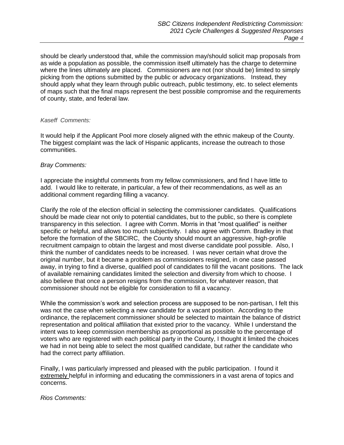should be clearly understood that, while the commission may/should solicit map proposals from as wide a population as possible, the commission itself ultimately has the charge to determine where the lines ultimately are placed. Commissioners are not (nor should be) limited to simply picking from the options submitted by the public or advocacy organizations. Instead, they should apply what they learn through public outreach, public testimony, etc. to select elements of maps such that the final maps represent the best possible compromise and the requirements of county, state, and federal law.

#### *Kaseff Comments:*

It would help if the Applicant Pool more closely aligned with the ethnic makeup of the County. The biggest complaint was the lack of Hispanic applicants, increase the outreach to those communities.

#### *Bray Comments:*

I appreciate the insightful comments from my fellow commissioners, and find I have little to add. I would like to reiterate, in particular, a few of their recommendations, as well as an additional comment regarding filling a vacancy.

Clarify the role of the election official in selecting the commissioner candidates. Qualifications should be made clear not only to potential candidates, but to the public, so there is complete transparency in this selection. I agree with Comm. Morris in that "most qualified" is neither specific or helpful, and allows too much subjectivity. I also agree with Comm. Bradley in that before the formation of the SBCIRC, the County should mount an aggressive, high-profile recruitment campaign to obtain the largest and most diverse candidate pool possible. Also, I think the number of candidates needs to be increased. I was never certain what drove the original number, but it became a problem as commissioners resigned, in one case passed away, in trying to find a diverse, qualified pool of candidates to fill the vacant positions. The lack of available remaining candidates limited the selection and diversity from which to choose. I also believe that once a person resigns from the commission, for whatever reason, that commissioner should not be eligible for consideration to fill a vacancy.

While the commission's work and selection process are supposed to be non-partisan, I felt this was not the case when selecting a new candidate for a vacant position. According to the ordinance, the replacement commissioner should be selected to maintain the balance of district representation and political affiliation that existed prior to the vacancy. While I understand the intent was to keep commission membership as proportional as possible to the percentage of voters who are registered with each political party in the County, I thought it limited the choices we had in not being able to select the most qualified candidate, but rather the candidate who had the correct party affiliation.

Finally, I was particularly impressed and pleased with the public participation. I found it extremely helpful in informing and educating the commissioners in a vast arena of topics and concerns.

*Rios Comments:*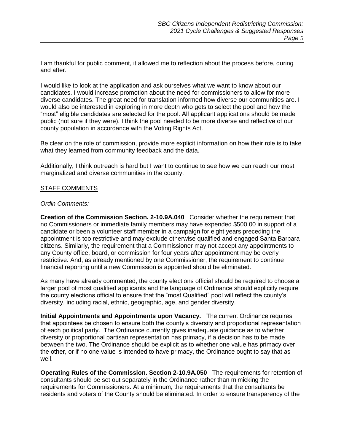I am thankful for public comment, it allowed me to reflection about the process before, during and after.

I would like to look at the application and ask ourselves what we want to know about our candidates. I would increase promotion about the need for commissioners to allow for more diverse candidates. The great need for translation informed how diverse our communities are. I would also be interested in exploring in more depth who gets to select the pool and how the "most" eligible candidates are selected for the pool. All applicant applications should be made public (not sure if they were). I think the pool needed to be more diverse and reflective of our county population in accordance with the Voting Rights Act.

Be clear on the role of commission, provide more explicit information on how their role is to take what they learned from community feedback and the data.

Additionally, I think outreach is hard but I want to continue to see how we can reach our most marginalized and diverse communities in the county.

#### STAFF COMMENTS

#### *Ordin Comments:*

**Creation of the Commission Section. 2-10.9A.040** Consider whether the requirement that no Commissioners or immediate family members may have expended \$500.00 in support of a candidate or been a volunteer staff member in a campaign for eight years preceding the appointment is too restrictive and may exclude otherwise qualified and engaged Santa Barbara citizens. Similarly, the requirement that a Commissioner may not accept any appointments to any County office, board, or commission for four years after appointment may be overly restrictive. And, as already mentioned by one Commissioner, the requirement to continue financial reporting until a new Commission is appointed should be eliminated.

As many have already commented, the county elections official should be required to choose a larger pool of most qualified applicants and the language of Ordinance should explicitly require the county elections official to ensure that the "most Qualified" pool will reflect the county's diversity, including racial, ethnic, geographic, age, and gender diversity.

**Initial Appointments and Appointments upon Vacancy.** The current Ordinance requires that appointees be chosen to ensure both the county's diversity and proportional representation of each political party. The Ordinance currently gives inadequate guidance as to whether diversity or proportional partisan representation has primacy, if a decision has to be made between the two. The Ordinance should be explicit as to whether one value has primacy over the other, or if no one value is intended to have primacy, the Ordinance ought to say that as well.

**Operating Rules of the Commission. Section 2-10.9A.050** The requirements for retention of consultants should be set out separately in the Ordinance rather than mimicking the requirements for Commissioners. At a minimum, the requirements that the consultants be residents and voters of the County should be eliminated. In order to ensure transparency of the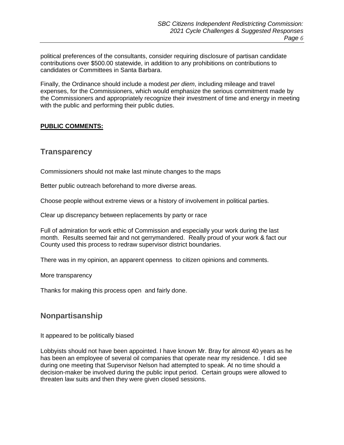political preferences of the consultants, consider requiring disclosure of partisan candidate contributions over \$500.00 statewide, in addition to any prohibitions on contributions to candidates or Committees in Santa Barbara.

Finally, the Ordinance should include a modest *per diem*, including mileage and travel expenses, for the Commissioners, which would emphasize the serious commitment made by the Commissioners and appropriately recognize their investment of time and energy in meeting with the public and performing their public duties.

#### **PUBLIC COMMENTS:**

### **Transparency**

Commissioners should not make last minute changes to the maps

Better public outreach beforehand to more diverse areas.

Choose people without extreme views or a history of involvement in political parties.

Clear up discrepancy between replacements by party or race

Full of admiration for work ethic of Commission and especially your work during the last month. Results seemed fair and not gerrymandered. Really proud of your work & fact our County used this process to redraw supervisor district boundaries.

There was in my opinion, an apparent openness to citizen opinions and comments.

More transparency

Thanks for making this process open and fairly done.

## **Nonpartisanship**

It appeared to be politically biased

Lobbyists should not have been appointed. I have known Mr. Bray for almost 40 years as he has been an employee of several oil companies that operate near my residence. I did see during one meeting that Supervisor Nelson had attempted to speak. At no time should a decision-maker be involved during the public input period. Certain groups were allowed to threaten law suits and then they were given closed sessions.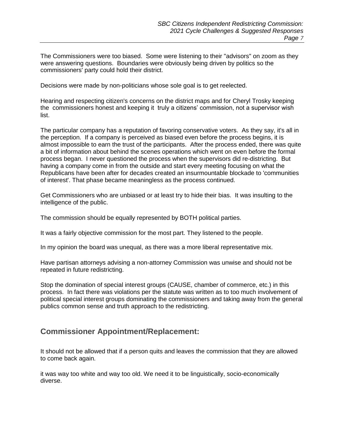The Commissioners were too biased. Some were listening to their "advisors" on zoom as they were answering questions. Boundaries were obviously being driven by politics so the commissioners' party could hold their district.

Decisions were made by non-politicians whose sole goal is to get reelected.

Hearing and respecting citizen's concerns on the district maps and for Cheryl Trosky keeping the commissioners honest and keeping it truly a citizens' commission, not a supervisor wish list.

The particular company has a reputation of favoring conservative voters. As they say, it's all in the perception. If a company is perceived as biased even before the process begins, it is almost impossible to earn the trust of the participants. After the process ended, there was quite a bit of information about behind the scenes operations which went on even before the formal process began. I never questioned the process when the supervisors did re-districting. But having a company come in from the outside and start every meeting focusing on what the Republicans have been after for decades created an insurmountable blockade to 'communities of interest'. That phase became meaningless as the process continued.

Get Commissioners who are unbiased or at least try to hide their bias. It was insulting to the intelligence of the public.

The commission should be equally represented by BOTH political parties.

It was a fairly objective commission for the most part. They listened to the people.

In my opinion the board was unequal, as there was a more liberal representative mix.

Have partisan attorneys advising a non-attorney Commission was unwise and should not be repeated in future redistricting.

Stop the domination of special interest groups (CAUSE, chamber of commerce, etc.) in this process. In fact there was violations per the statute was written as to too much involvement of political special interest groups dominating the commissioners and taking away from the general publics common sense and truth approach to the redistricting.

## **Commissioner Appointment/Replacement:**

It should not be allowed that if a person quits and leaves the commission that they are allowed to come back again.

it was way too white and way too old. We need it to be linguistically, socio-economically diverse.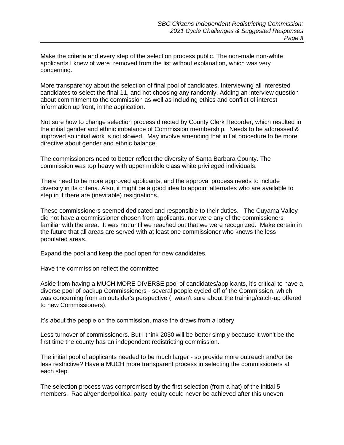Make the criteria and every step of the selection process public. The non-male non-white applicants I knew of were removed from the list without explanation, which was very concerning.

More transparency about the selection of final pool of candidates. Interviewing all interested candidates to select the final 11, and not choosing any randomly. Adding an interview question about commitment to the commission as well as including ethics and conflict of interest information up front, in the application.

Not sure how to change selection process directed by County Clerk Recorder, which resulted in the initial gender and ethnic imbalance of Commission membership. Needs to be addressed & improved so initial work is not slowed. May involve amending that initial procedure to be more directive about gender and ethnic balance.

The commissioners need to better reflect the diversity of Santa Barbara County. The commission was top heavy with upper middle class white privileged individuals.

There need to be more approved applicants, and the approval process needs to include diversity in its criteria. Also, it might be a good idea to appoint alternates who are available to step in if there are (inevitable) resignations.

These commissioners seemed dedicated and responsible to their duties. The Cuyama Valley did not have a commissioner chosen from applicants, nor were any of the commissioners familiar with the area. It was not until we reached out that we were recognized. Make certain in the future that all areas are served with at least one commissioner who knows the less populated areas.

Expand the pool and keep the pool open for new candidates.

Have the commission reflect the committee

Aside from having a MUCH MORE DIVERSE pool of candidates/applicants, it's critical to have a diverse pool of backup Commissioners - several people cycled off of the Commission, which was concerning from an outsider's perspective (I wasn't sure about the training/catch-up offered to new Commissioners).

It's about the people on the commission, make the draws from a lottery

Less turnover of commissioners. But I think 2030 will be better simply because it won't be the first time the county has an independent redistricting commission.

The initial pool of applicants needed to be much larger - so provide more outreach and/or be less restrictive? Have a MUCH more transparent process in selecting the commissioners at each step.

The selection process was compromised by the first selection (from a hat) of the initial 5 members. Racial/gender/political party equity could never be achieved after this uneven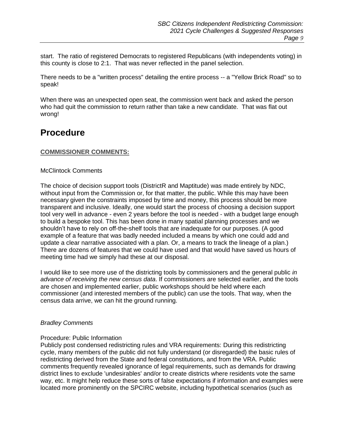start. The ratio of registered Democrats to registered Republicans (with independents voting) in this county is close to 2:1. That was never reflected in the panel selection.

There needs to be a "written process" detailing the entire process -- a "Yellow Brick Road" so to speak!

When there was an unexpected open seat, the commission went back and asked the person who had quit the commission to return rather than take a new candidate. That was flat out wrong!

## **Procedure**

#### **COMMISSIONER COMMENTS:**

#### McClintock Comments

The choice of decision support tools (DistrictR and Maptitude) was made entirely by NDC, without input from the Commission or, for that matter, the public. While this may have been necessary given the constraints imposed by time and money, this process should be more transparent and inclusive. Ideally, one would start the process of choosing a decision support tool very well in advance - even 2 years before the tool is needed - with a budget large enough to build a bespoke tool. This has been done in many spatial planning processes and we shouldn't have to rely on off-the-shelf tools that are inadequate for our purposes. (A good example of a feature that was badly needed included a means by which one could add and update a clear narrative associated with a plan. Or, a means to track the lineage of a plan.) There are dozens of features that we could have used and that would have saved us hours of meeting time had we simply had these at our disposal.

I would like to see more use of the districting tools by commissioners and the general public *in advance of receiving the new census data*. If commissioners are selected earlier, and the tools are chosen and implemented earlier, public workshops should be held where each commissioner (and interested members of the public) can use the tools. That way, when the census data arrive, we can hit the ground running.

#### *Bradley Comments*

#### Procedure: Public Information

Publicly post condensed redistricting rules and VRA requirements: During this redistricting cycle, many members of the public did not fully understand (or disregarded) the basic rules of redistricting derived from the State and federal constitutions, and from the VRA. Public comments frequently revealed ignorance of legal requirements, such as demands for drawing district lines to exclude 'undesirables' and/or to create districts where residents vote the same way, etc. It might help reduce these sorts of false expectations if information and examples were located more prominently on the SPCIRC website, including hypothetical scenarios (such as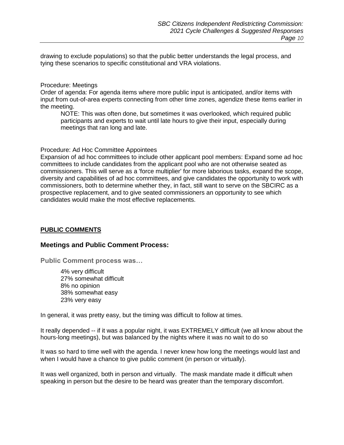drawing to exclude populations) so that the public better understands the legal process, and tying these scenarios to specific constitutional and VRA violations.

Procedure: Meetings

Order of agenda: For agenda items where more public input is anticipated, and/or items with input from out-of-area experts connecting from other time zones, agendize these items earlier in the meeting.

NOTE: This was often done, but sometimes it was overlooked, which required public participants and experts to wait until late hours to give their input, especially during meetings that ran long and late.

Procedure: Ad Hoc Committee Appointees

Expansion of ad hoc committees to include other applicant pool members: Expand some ad hoc committees to include candidates from the applicant pool who are not otherwise seated as commissioners. This will serve as a 'force multiplier' for more laborious tasks, expand the scope, diversity and capabilities of ad hoc committees, and give candidates the opportunity to work with commissioners, both to determine whether they, in fact, still want to serve on the SBCIRC as a prospective replacement, and to give seated commissioners an opportunity to see which candidates would make the most effective replacements.

#### **PUBLIC COMMENTS**

#### **Meetings and Public Comment Process:**

**Public Comment process was…**

4% very difficult 27% somewhat difficult 8% no opinion 38% somewhat easy 23% very easy

In general, it was pretty easy, but the timing was difficult to follow at times.

It really depended -- if it was a popular night, it was EXTREMELY difficult (we all know about the hours-long meetings), but was balanced by the nights where it was no wait to do so

It was so hard to time well with the agenda. I never knew how long the meetings would last and when I would have a chance to give public comment (in person or virtually).

It was well organized, both in person and virtually. The mask mandate made it difficult when speaking in person but the desire to be heard was greater than the temporary discomfort.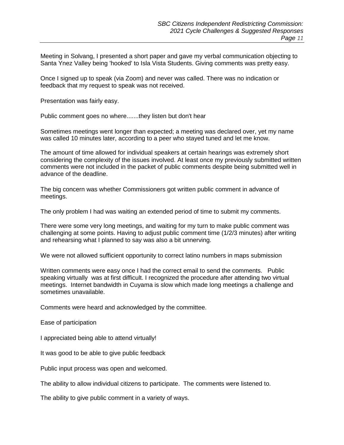Meeting in Solvang, I presented a short paper and gave my verbal communication objecting to Santa Ynez Valley being 'hooked' to Isla Vista Students. Giving comments was pretty easy.

Once I signed up to speak (via Zoom) and never was called. There was no indication or feedback that my request to speak was not received.

Presentation was fairly easy.

Public comment goes no where.......they listen but don't hear

Sometimes meetings went longer than expected; a meeting was declared over, yet my name was called 10 minutes later, according to a peer who stayed tuned and let me know.

The amount of time allowed for individual speakers at certain hearings was extremely short considering the complexity of the issues involved. At least once my previously submitted written comments were not included in the packet of public comments despite being submitted well in advance of the deadline.

The big concern was whether Commissioners got written public comment in advance of meetings.

The only problem I had was waiting an extended period of time to submit my comments.

There were some very long meetings, and waiting for my turn to make public comment was challenging at some points. Having to adjust public comment time (1/2/3 minutes) after writing and rehearsing what I planned to say was also a bit unnerving.

We were not allowed sufficient opportunity to correct latino numbers in maps submission

Written comments were easy once I had the correct email to send the comments. Public speaking virtually was at first difficult. I recognized the procedure after attending two virtual meetings. Internet bandwidth in Cuyama is slow which made long meetings a challenge and sometimes unavailable.

Comments were heard and acknowledged by the committee.

Ease of participation

I appreciated being able to attend virtually!

It was good to be able to give public feedback

Public input process was open and welcomed.

The ability to allow individual citizens to participate. The comments were listened to.

The ability to give public comment in a variety of ways.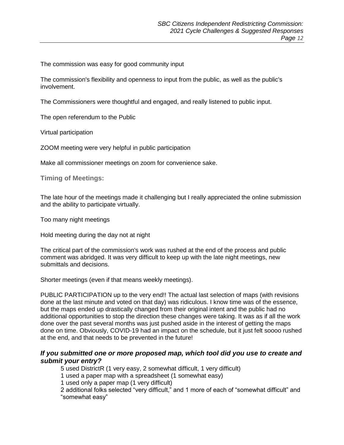The commission was easy for good community input

The commission's flexibility and openness to input from the public, as well as the public's involvement.

The Commissioners were thoughtful and engaged, and really listened to public input.

The open referendum to the Public

Virtual participation

ZOOM meeting were very helpful in public participation

Make all commissioner meetings on zoom for convenience sake.

**Timing of Meetings:**

The late hour of the meetings made it challenging but I really appreciated the online submission and the ability to participate virtually.

Too many night meetings

Hold meeting during the day not at night

The critical part of the commission's work was rushed at the end of the process and public comment was abridged. It was very difficult to keep up with the late night meetings, new submittals and decisions.

Shorter meetings (even if that means weekly meetings).

PUBLIC PARTICIPATION up to the very end!! The actual last selection of maps (with revisions done at the last minute and voted on that day) was ridiculous. I know time was of the essence, but the maps ended up drastically changed from their original intent and the public had no additional opportunities to stop the direction these changes were taking. It was as if all the work done over the past several months was just pushed aside in the interest of getting the maps done on time. Obviously, COVID-19 had an impact on the schedule, but it just felt soooo rushed at the end, and that needs to be prevented in the future!

#### *If you submitted one or more proposed map, which tool did you use to create and submit your entry?*

5 used DistrictR (1 very easy, 2 somewhat difficult, 1 very difficult)

1 used a paper map with a spreadsheet (1 somewhat easy)

1 used only a paper map (1 very difficult)

2 additional folks selected "very difficult," and 1 more of each of "somewhat difficult" and "somewhat easy"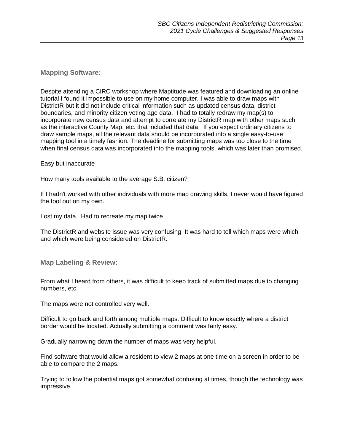#### **Mapping Software:**

Despite attending a CIRC workshop where Maptitude was featured and downloading an online tutorial I found it impossible to use on my home computer. I was able to draw maps with DistrictR but it did not include critical information such as updated census data, district boundaries, and minority citizen voting age data. I had to totally redraw my map(s) to incorporate new census data and attempt to correlate my DistrictR map with other maps such as the interactive County Map, etc. that included that data. If you expect ordinary citizens to draw sample maps, all the relevant data should be incorporated into a single easy-to-use mapping tool in a timely fashion. The deadline for submitting maps was too close to the time when final census data was incorporated into the mapping tools, which was later than promised.

#### Easy but inaccurate

How many tools available to the average S.B. citizen?

If I hadn't worked with other individuals with more map drawing skills, I never would have figured the tool out on my own.

Lost my data. Had to recreate my map twice

The DistrictR and website issue was very confusing. It was hard to tell which maps were which and which were being considered on DistrictR.

**Map Labeling & Review:**

From what I heard from others, it was difficult to keep track of submitted maps due to changing numbers, etc.

The maps were not controlled very well.

Difficult to go back and forth among multiple maps. Difficult to know exactly where a district border would be located. Actually submitting a comment was fairly easy.

Gradually narrowing down the number of maps was very helpful.

Find software that would allow a resident to view 2 maps at one time on a screen in order to be able to compare the 2 maps.

Trying to follow the potential maps got somewhat confusing at times, though the technology was impressive.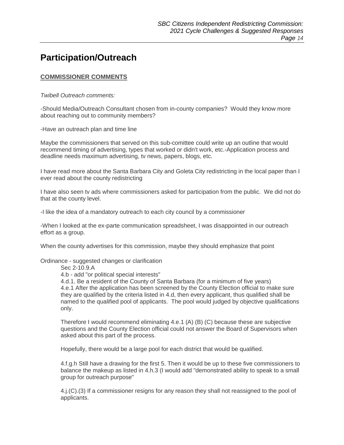## **Participation/Outreach**

#### **COMMISSIONER COMMENTS**

*Twibell Outreach comments:*

-Should Media/Outreach Consultant chosen from in-county companies? Would they know more about reaching out to community members?

-Have an outreach plan and time line

Maybe the commissioners that served on this sub-comittee could write up an outline that would recommend timing of advertising, types that worked or didn't work, etc.-Application process and deadline needs maximum advertising, tv news, papers, blogs, etc.

I have read more about the Santa Barbara City and Goleta City redistricting in the local paper than I ever read about the county redistricting

I have also seen tv ads where commissioners asked for participation from the public. We did not do that at the county level.

-I like the idea of a mandatory outreach to each city council by a commissioner

-When I looked at the ex-parte communication spreadsheet, I was disappointed in our outreach effort as a group.

When the county advertises for this commission, maybe they should emphasize that point

Ordinance - suggested changes or clarification

Sec 2-10.9.A

4.b - add "or political special interests"

4.d.1. Be a resident of the County of Santa Barbara (for a minimum of five years) 4.e.1 After the application has been screened by the County Election official to make sure they are qualified by the criteria listed in 4.d, then every applicant, thus qualified shall be named to the qualified pool of applicants. The pool would judged by objective qualifications only.

Therefore I would recommend eliminating 4.e.1 (A) (B) (C) because these are subjective questions and the County Election official could not answer the Board of Supervisors when asked about this part of the process.

Hopefully, there would be a large pool for each district that would be qualified.

4.f.g.h Still have a drawing for the first 5. Then it would be up to these five commissioners to balance the makeup as listed in 4.h.3 (I would add "demonstrated ability to speak to a small group for outreach purpose"

4.j.(C).(3) If a commissioner resigns for any reason they shall not reassigned to the pool of applicants.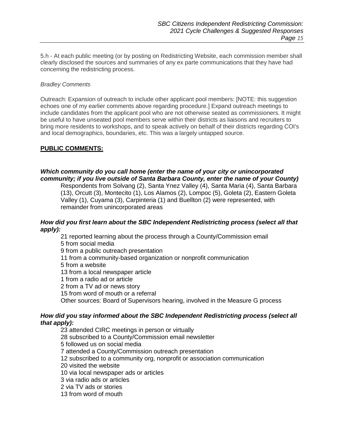5.h - At each public meeting (or by posting on Redistricting Website, each commission member shall clearly disclosed the sources and summaries of any ex parte communications that they have had concerning the redistricting process.

#### *Bradley Comments*

Outreach: Expansion of outreach to include other applicant pool members: [NOTE: this suggestion echoes one of my earlier comments above regarding procedure.] Expand outreach meetings to include candidates from the applicant pool who are not otherwise seated as commissioners. It might be useful to have unseated pool members serve within their districts as liaisons and recruiters to bring more residents to workshops, and to speak actively on behalf of their districts regarding COI's and local demographics, boundaries, etc. This was a largely untapped source.

#### **PUBLIC COMMENTS:**

#### *Which community do you call home (enter the name of your city or unincorporated community; if you live outside of Santa Barbara County, enter the name of your County)*

Respondents from Solvang (2), Santa Ynez Valley (4), Santa Maria (4), Santa Barbara (13), Orcutt (3), Montecito (1), Los Alamos (2), Lompoc (5), Goleta (2), Eastern Goleta Valley (1), Cuyama (3), Carpinteria (1) and Buellton (2) were represented, with remainder from unincorporated areas

#### *How did you first learn about the SBC Independent Redistricting process (select all that apply):*

21 reported learning about the process through a County/Commission email

5 from social media

9 from a public outreach presentation

11 from a community-based organization or nonprofit communication

5 from a website

13 from a local newspaper article

1 from a radio ad or article

2 from a TV ad or news story

15 from word of mouth or a referral

Other sources: Board of Supervisors hearing, involved in the Measure G process

#### *How did you stay informed about the SBC Independent Redistricting process (select all that apply):*

23 attended CIRC meetings in person or virtually 28 subscribed to a County/Commission email newsletter 5 followed us on social media 7 attended a County/Commission outreach presentation 12 subscribed to a community org, nonprofit or association communication 20 visited the website 10 via local newspaper ads or articles 3 via radio ads or articles 2 via TV ads or stories 13 from word of mouth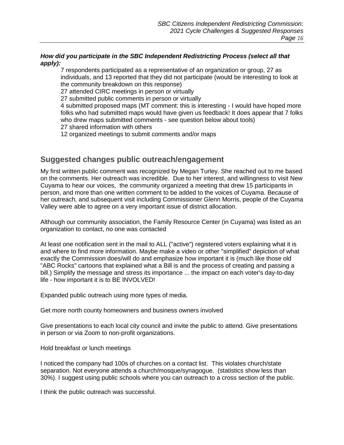#### *How did you participate in the SBC Independent Redistricting Process (select all that apply):*

7 respondents participated as a representative of an organization or group, 27 as individuals, and 13 reported that they did not participate (would be interesting to look at the community breakdown on this response)

27 attended CIRC meetings in person or virtually

27 submitted public comments in person or virtually

4 submitted proposed maps (MT comment: this is interesting - I would have hoped more folks who had submitted maps would have given us feedback! It does appear that 7 folks who drew maps submitted comments - see question below about tools) 27 shared information with others

12 organized meetings to submit comments and/or maps

## **Suggested changes public outreach/engagement**

My first written public comment was recognized by Megan Turley. She reached out to me based on the comments. Her outreach was incredible. Due to her interest, and willingness to visit New Cuyama to hear our voices, the community organized a meeting that drew 15 participants in person, and more than one written comment to be added to the voices of Cuyama. Because of her outreach, and subsequent visit including Commissioner Glenn Morris, people of the Cuyama Valley were able to agree on a very important issue of district allocation.

Although our community association, the Family Resource Center (in Cuyama) was listed as an organization to contact, no one was contacted

At least one notification sent in the mail to ALL ("active") registered voters explaining what it is and where to find more information. Maybe make a video or other "simplified" depiction of what exactly the Commission does/will do and emphasize how important it is (much like those old "ABC Rocks" cartoons that explained what a Bill is and the process of creating and passing a bill.) Simplify the message and stress its importance ... the impact on each voter's day-to-day life - how important it is to BE INVOLVED!

Expanded public outreach using more types of media.

Get more north county homeowners and business owners involved

Give presentations to each local city council and invite the public to attend. Give presentations in person or via Zoom to non-profit organizations.

Hold breakfast or lunch meetings

I noticed the company had 100s of churches on a contact list. This violates church/state separation. Not everyone attends a church/mosque/synagogue. (statistics show less than 30%). I suggest using public schools where you can outreach to a cross section of the public.

I think the public outreach was successful.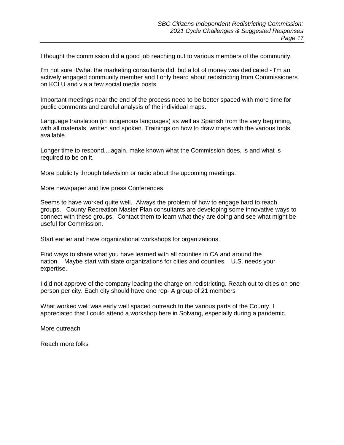I thought the commission did a good job reaching out to various members of the community.

I'm not sure if/what the marketing consultants did, but a lot of money was dedicated - I'm an actively engaged community member and I only heard about redistricting from Commissioners on KCLU and via a few social media posts.

Important meetings near the end of the process need to be better spaced with more time for public comments and careful analysis of the individual maps.

Language translation (in indigenous languages) as well as Spanish from the very beginning, with all materials, written and spoken. Trainings on how to draw maps with the various tools available.

Longer time to respond....again, make known what the Commission does, is and what is required to be on it.

More publicity through television or radio about the upcoming meetings.

More newspaper and live press Conferences

Seems to have worked quite well. Always the problem of how to engage hard to reach groups. County Recreation Master Plan consultants are developing some innovative ways to connect with these groups. Contact them to learn what they are doing and see what might be useful for Commission.

Start earlier and have organizational workshops for organizations.

Find ways to share what you have learned with all counties in CA and around the nation. Maybe start with state organizations for cities and counties. U.S. needs your expertise.

I did not approve of the company leading the charge on redistricting. Reach out to cities on one person per city. Each city should have one rep- A group of 21 members

What worked well was early well spaced outreach to the various parts of the County. I appreciated that I could attend a workshop here in Solvang, especially during a pandemic.

More outreach

Reach more folks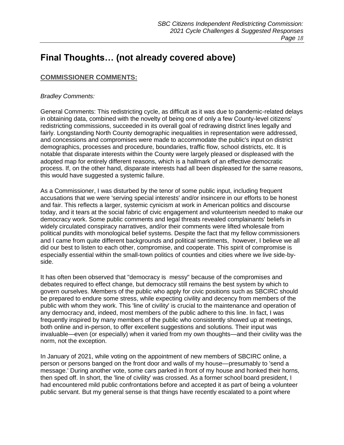## **Final Thoughts… (not already covered above)**

#### **COMMISSIONER COMMENTS:**

#### *Bradley Comments:*

General Comments: This redistricting cycle, as difficult as it was due to pandemic-related delays in obtaining data, combined with the novelty of being one of only a few County-level citizens' redistricting commissions, succeeded in its overall goal of redrawing district lines legally and fairly. Longstanding North County demographic inequalities in representation were addressed, and concessions and compromises were made to accommodate the public's input on district demographics, processes and procedure, boundaries, traffic flow, school districts, etc. It is notable that disparate interests within the County were largely pleased or displeased with the adopted map for entirely different reasons, which is a hallmark of an effective democratic process. If, on the other hand, disparate interests had all been displeased for the same reasons, this would have suggested a systemic failure.

As a Commissioner, I was disturbed by the tenor of some public input, including frequent accusations that we were 'serving special interests' and/or insincere in our efforts to be honest and fair. This reflects a larger, systemic cynicism at work in American politics and discourse today, and it tears at the social fabric of civic engagement and volunteerism needed to make our democracy work. Some public comments and legal threats revealed complainants' beliefs in widely circulated conspiracy narratives, and/or their comments were lifted wholesale from political pundits with monological belief systems. Despite the fact that my fellow commissioners and I came from quite different backgrounds and political sentiments, however, I believe we all did our best to listen to each other, compromise, and cooperate. This spirit of compromise is especially essential within the small-town politics of counties and cities where we live side-byside.

It has often been observed that "democracy is messy" because of the compromises and debates required to effect change, but democracy still remains the best system by which to govern ourselves. Members of the public who apply for civic positions such as SBCIRC should be prepared to endure some stress, while expecting civility and decency from members of the public with whom they work. This 'line of civility' is crucial to the maintenance and operation of any democracy and, indeed, most members of the public adhere to this line. In fact, I was frequently inspired by many members of the public who consistently showed up at meetings, both online and in-person, to offer excellent suggestions and solutions. Their input was invaluable—even (or especially) when it varied from my own thoughts—and their civility was the norm, not the exception.

In January of 2021, while voting on the appointment of new members of SBCIRC online, a person or persons banged on the front door and walls of my house—presumably to 'send a message.' During another vote, some cars parked in front of my house and honked their horns, then sped off. In short, the 'line of civility' was crossed. As a former school board president, I had encountered mild public confrontations before and accepted it as part of being a volunteer public servant. But my general sense is that things have recently escalated to a point where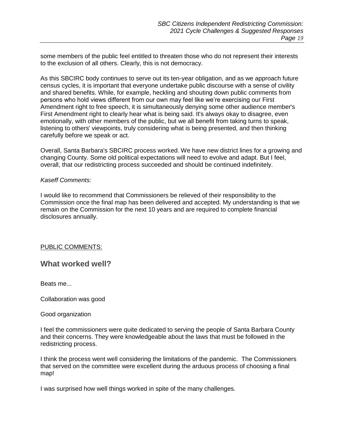some members of the public feel entitled to threaten those who do not represent their interests to the exclusion of all others. Clearly, this is not democracy.

As this SBCIRC body continues to serve out its ten-year obligation, and as we approach future census cycles, it is important that everyone undertake public discourse with a sense of civility and shared benefits. While, for example, heckling and shouting down public comments from persons who hold views different from our own may feel like we're exercising our First Amendment right to free speech, it is simultaneously denying some other audience member's First Amendment right to clearly hear what is being said. It's always okay to disagree, even emotionally, with other members of the public, but we all benefit from taking turns to speak, listening to others' viewpoints, truly considering what is being presented, and then thinking carefully before we speak or act.

Overall, Santa Barbara's SBCIRC process worked. We have new district lines for a growing and changing County. Some old political expectations will need to evolve and adapt. But I feel, overall, that our redistricting process succeeded and should be continued indefinitely.

#### *Kaseff Comments:*

I would like to recommend that Commissioners be relieved of their responsibility to the Commission once the final map has been delivered and accepted. My understanding is that we remain on the Commission for the next 10 years and are required to complete financial disclosures annually.

#### PUBLIC COMMENTS:

#### **What worked well?**

Beats me...

Collaboration was good

#### Good organization

I feel the commissioners were quite dedicated to serving the people of Santa Barbara County and their concerns. They were knowledgeable about the laws that must be followed in the redistricting process.

I think the process went well considering the limitations of the pandemic. The Commissioners that served on the committee were excellent during the arduous process of choosing a final map!

I was surprised how well things worked in spite of the many challenges.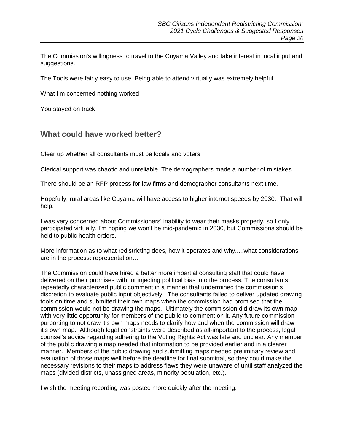The Commission's willingness to travel to the Cuyama Valley and take interest in local input and suggestions.

The Tools were fairly easy to use. Being able to attend virtually was extremely helpful.

What I'm concerned nothing worked

You stayed on track

## **What could have worked better?**

Clear up whether all consultants must be locals and voters

Clerical support was chaotic and unreliable. The demographers made a number of mistakes.

There should be an RFP process for law firms and demographer consultants next time.

Hopefully, rural areas like Cuyama will have access to higher internet speeds by 2030. That will help.

I was very concerned about Commissioners' inability to wear their masks properly, so I only participated virtually. I'm hoping we won't be mid-pandemic in 2030, but Commissions should be held to public health orders.

More information as to what redistricting does, how it operates and why.....what considerations are in the process: representation…

The Commission could have hired a better more impartial consulting staff that could have delivered on their promises without injecting political bias into the process. The consultants repeatedly characterized public comment in a manner that undermined the commission's discretion to evaluate public input objectively. The consultants failed to deliver updated drawing tools on time and submitted their own maps when the commission had promised that the commission would not be drawing the maps. Ultimately the commission did draw its own map with very little opportunity for members of the public to comment on it. Any future commission purporting to not draw it's own maps needs to clarify how and when the commission will draw it's own map. Although legal constraints were described as all-important to the process, legal counsel's advice regarding adhering to the Voting Rights Act was late and unclear. Any member of the public drawing a map needed that information to be provided earlier and in a clearer manner. Members of the public drawing and submitting maps needed preliminary review and evaluation of those maps well before the deadline for final submittal, so they could make the necessary revisions to their maps to address flaws they were unaware of until staff analyzed the maps (divided districts, unassigned areas, minority population, etc.).

I wish the meeting recording was posted more quickly after the meeting.